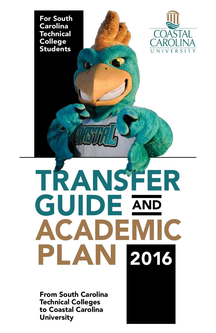



# TRANSFER **GUIDE AND ACADEMIC** PLAN 2016

From South Carolina Technical Colleges to Coastal Carolina **University**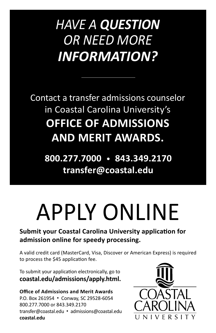### *HAVE A QUESTION OR NEED MORE INFORMATION?*

Contact a transfer admissions counselor in Coastal Carolina University's **OFFICE OF ADMISSIONS AND MERIT AWARDS.**

**800.277.7000** • **843.349.2170 transfer@coastal.edu**

## APPLY ONLINE

#### **Submit your Coastal Carolina University application for admission online for speedy processing.**

A valid credit card (MasterCard, Visa, Discover or American Express) is required to process the \$45 application fee.

To submit your application electronically, go to **coastal.edu/admissions/apply.html.**

**Office of Admissions and Merit Awards** P.O. Box 261954 • Conway, SC 29528-6054 800.277.7000 or 843.349.2170 transfer@coastal.edu • admissions@coastal.edu **coastal.edu**

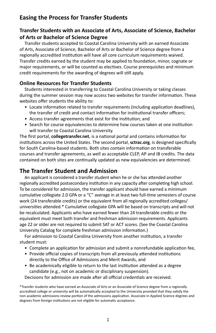#### **Easing the Process for Transfer Students**

#### **Transfer Students with an Associate of Arts, Associate of Science, Bachelor of Arts or Bachelor of Science Degree**

Transfer students accepted to Coastal Carolina University with an earned Associate of Arts, Associate of Science, Bachelor of Arts or Bachelor of Science degree from a regionally accredited institution will have all core curriculum requirements waived. Transfer credits earned by the student may be applied to foundation, minor, cognate or major requirements, or will be counted as electives. Course prerequisites and minimum credit requirements for the awarding of degrees will still apply.

#### **Online Resources for Transfer Students**

Students interested in transferring to Coastal Carolina University or taking classes during the summer session may now access two websites for transfer information. These websites offer students the ability to:

- Locate information related to transfer requirements (including application deadlines), the transfer of credit and contact information for institutional transfer officers;
- Access transfer agreements that exist for the institution; and
- Search for course equivalencies to determine how courses taken at one institution will transfer to Coastal Carolina University.

The first portal, **collegetransfer.net**, is a national portal and contains information for institutions across the United States. The second portal, **sctrac.org**, is designed specifically for South Carolina-based students. Both sites contain information on transferable courses and transfer agreements, as well as acceptable CLEP, AP and IB credits. The data contained on both sites are continually updated as new equivalencies are determined.

#### **The Transfer Student and Admission**

An applicant is considered a transfer student when he or she has attended another regionally accredited postsecondary institution in any capacity after completing high school. To be considered for admission, the transfer applicant should have earned a minimum cumulative collegiate 2.0 GPA or a "C" average in at least two full-time semesters of course work (24 transferable credits) or the equivalent from all regionally accredited colleges/ universities attended.\* Cumulative collegiate GPA will be based on transcripts and will not be recalculated. Applicants who have earned fewer than 24 transferable credits or the equivalent must meet both transfer and freshman admission requirements. Applicants age 22 or older are not required to submit SAT or ACT scores. (See the Coastal Carolina University Catalog for complete freshman admission information.)

For admission to Coastal Carolina University from another institution, a transfer student must:

- Complete an application for admission and submit a nonrefundable application fee,
- Provide official copies of transcripts from all previously attended institutions directly to the Office of Admissions and Merit Awards, and
- Be academically eligible to return to the last institution attended as a degree candidate (e.g., not on academic or disciplinary suspension).

Decisions for admission are made after all official credentials are received.

<sup>\*</sup>Transfer students who have earned an Associate of Arts or an Associate of Science degree from a regionally accredited college or university will be automatically accepted to the University provided that they satisfy the non-academic admissions review portion of the admissions application. Associate in Applied Science degrees and degrees from foreign institutions are not eligible for automatic acceptance.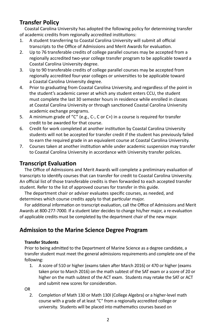#### **Transfer Policy**

Coastal Carolina University has adopted the following policy for determining transfer of academic credits from regionally accredited institutions:

- 1. A student transferring to Coastal Carolina University will submit all official transcripts to the Office of Admissions and Merit Awards for evaluation.
- 2. Up to 76 transferable credits of college parallel courses may be accepted from a regionally accredited two-year college transfer program to be applicable toward a Coastal Carolina University degree.
- 3. Up to 90 transferable credits of college parallel courses may be accepted from regionally accredited four-year colleges or universities to be applicable toward a Coastal Carolina University degree.
- 4. Prior to graduating from Coastal Carolina University, and regardless of the point in the student's academic career at which any student enters CCU, the student must complete the last 30 semester hours in residence while enrolled in classes at Coastal Carolina University or through sanctioned Coastal Carolina University academic exchange programs.
- 5. A minimum grade of "C" (e.g., C-, C or C+) in a course is required for transfer credit to be awarded for that course.
- 6. Credit for work completed at another institution by Coastal Carolina University students will not be accepted for transfer credit if the student has previously failed to earn the required grade in an equivalent course at Coastal Carolina University.
- 7. Courses taken at another institution while under academic suspension may transfer to Coastal Carolina University in accordance with University transfer policies.

#### **Transcript Evaluation**

The Office of Admissions and Merit Awards will complete a preliminary evaluation of transcripts to identify courses that can transfer for credit to Coastal Carolina University. An official list of those transferable credits is then forwarded to each accepted transfer student. Refer to the list of approved courses for transfer in this guide.

The department chair or adviser evaluates specific courses, as needed, and determines which course credits apply to that particular major.

For additional information on transcript evaluation, call the Office of Admissions and Merit Awards at 800-277-7000. If a student later decides to change his/her major, a re-evaluation of applicable credits must be completed by the department chair of the new major.

#### **Admission to the Marine Science Degree Program**

#### **Transfer Students**

Prior to being admitted to the Department of Marine Science as a degree candidate, a transfer student must meet the general admissions requirements and complete one of the following:

1. A score of 510 or higher (exams taken after March 2016) or 470 or higher (exams taken prior to March 2016) on the math subtest of the SAT exam or a score of 20 or higher on the math subtest of the ACT exam. Students may retake the SAT or ACT and submit new scores for consideration.

OR

2. Completion of Math 130 or Math 130I (College Algebra) or a higher-level math course with a grade of at least "C" from a regionally accredited college or university. Students will be placed into mathematics courses based on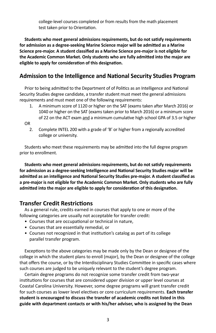college-level courses completed or from results from the math placement test taken prior to Orientation.

**Students who meet general admissions requirements, but do not satisfy requirements for admission as a degree-seeking Marine Science major will be admitted as a Marine Science pre-major. A student classified as a Marine Science pre-major is not eligible for the Academic Common Market. Only students who are fully admitted into the major are eligible to apply for consideration of this designation.**

#### **Admission to the Intelligence and National Security Studies Program**

Prior to being admitted to the Department of of Politics as an Intelligence and National Security Studies degree candidate, a transfer student must meet the general admissions requirements and must meet one of the following requirements:

- 1. A minimum score of 1120 or higher on the SAT (exams taken after March 2016) or 1040 or higher on the SAT (exams taken prior to March 2016) or a minimum score of 22 on the ACT exam and a minimum cumulative high school GPA of 3.5 or higher
- OR
	- 2. Complete INTEL 200 with a grade of 'B' or higher from a regionally accredited college or university.

Students who meet these requirements may be admitted into the full degree program prior to enrollment.

**Students who meet general admissions requirements, but do not satisfy requirements for admission as a degree-seeking Intelligence and National Security Studies major will be admitted as an intelligence and National Security Studies pre-major. A student classified as a pre-major is not eligible for the Academic Common Market. Only students who are fully admitted into the major are eligible to apply for consideration of this designation.**

#### **Transfer Credit Restrictions**

As a general rule, credits earned in courses that apply to one or more of the following categories are usually not acceptable for transfer credit:

- Courses that are occupational or technical in nature,
- Courses that are essentially remedial, or
- Courses not recognized in that institution's catalog as part of its college parallel transfer program.

Exceptions to the above categories may be made only by the Dean or designee of the college in which the student plans to enroll (major), by the Dean or designee of the college that offers the course, or by the Interdisciplinary Studies Committee in specific cases where such courses are judged to be uniquely relevant to the student's degree program.

Certain degree programs do not recognize some transfer credit from two-year institutions for courses that are considered upper division or upper level courses at Coastal Carolina University. However, some degree programs will grant transfer credit for such courses as lower level electives or core curriculum requirements. **Each transfer student is encouraged to discuss the transfer of academic credits not listed in this guide with department contacts or with his/her adviser, who is assigned by the Dean**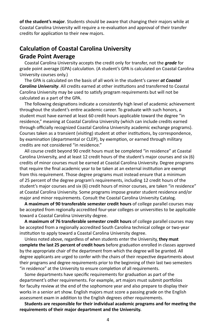**of the student's major**. Students should be aware that changing their majors while at Coastal Carolina University will require a re-evaluation and approval of their transfer credits for application to their new majors.

#### **Calculation of Coastal Carolina University Grade Point Average**

Coastal Carolina University accepts the credit only for transfer, not the *grade* for grade point average (GPA) calculation. (A student's GPA is calculated on Coastal Carolina University courses only.)

The GPA is calculated on the basis of all work in the student's career *at Coastal Carolina University*. All credits earned at other institutions and transferred to Coastal Carolina University may be used to satisfy program requirements but will not be calculated as a part of the GPA.

The following designations indicate a consistently high level of academic achievement throughout the student's entire academic career. To graduate with such honors, a student must have earned at least 60 credit hours applicable toward the degree "in residence," meaning at Coastal Carolina University (which can include credits earned through officially recognized Coastal Carolina University academic exchange programs). Courses taken as a transient (visiting) student at other institutions, by correspondence, by examination (departmental or CLEP), by exemption, or earned through military credits are not considered "in residence."

All course credit beyond 90 credit hours must be completed "in residence" at Coastal Carolina University, and at least 12 credit hours of the student's major courses and six (6) credits of minor courses must be earned at Coastal Carolina University. Degree programs that require the final academic year to be taken at an external institution are exempt from this requirement. Those degree programs must instead ensure that a minimum of 25 percent of the degree program's requirements, including 12 credit hours of the student's major courses and six (6) credit hours of minor courses, are taken "in residence" at Coastal Carolina University. Some programs impose greater student residence and/or major and minor requirements. Consult the Coastal Carolina University Catalog.

**A maximum of 90 transferable semester credit hours** of college parallel courses may be accepted from regionally accredited four-year colleges or universities to be applicable toward a Coastal Carolina University degree.

**A maximum of 76 transferable semester credit hours** of college parallel courses may be accepted from a regionally accredited South Carolina technical college or two-year institution to apply toward a Coastal Carolina University degree.

Unless noted above, regardless of when students enter the University, **they must complete the last 25 percent of credit hours** before graduation enrolled in classes approved by the appropriate chair of the department from which the degree will be granted. All degree applicants are urged to confer with the chairs of their respective departments about their programs and degree requirements prior to the beginning of their last two semesters "in residence" at the University to ensure completion of all requirements.

Some departments have specific requirements for graduation as part of the department's other requirements. For example, art majors must submit portfolios for faculty review at the end of the sophomore year and also prepare to display their works in a senior art show. English majors must score a passing grade on the English assessment exam in addition to the English degrees other requirements.

**Students are responsible for their individual academic programs and for meeting the requirements of their major department and the University.**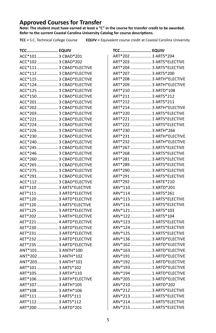**Approved Courses for Transfer Note: The student must have earned at least a "C" in the course for transfer credit to be awarded. Refer to the current Coastal Carolina University Catalog for course descriptions.**

**TCC =** S.C. Technical College Course **EQUIV =** Equivalent course credit at Coastal Carolina University

| TCC EQUIV                |  |
|--------------------------|--|
| ACC*101  3 CBAD*201      |  |
| ACC*102  3 CBAD*202      |  |
| ACC*111  3 CBAD*ELECTIVE |  |
| ACC*112  3 CBAD*ELECTIVE |  |
| ACC*115  3 CBAD*ELECTIVE |  |
| ACC*124  3 CBAD*ELECTIVE |  |
| ACC*125  3 CBAD*ELECTIVE |  |
| ACC*150  3 CBAD*ELECTIVE |  |
| ACC*201  3 CBAD*ELECTIVE |  |
| ACC*202  3 CBAD*ELECTIVE |  |
| ACC*203  3 CBAD*ELECTIVE |  |
| ACC*221  3 CBAD*ELECTIVE |  |
| ACC*224  3 CBAD*ELECTIVE |  |
| ACC*226  3 CBAD*ELECTIVE |  |
| ACC*230  3 CBAD*ELECTIVE |  |
| ACC*240  3 CBAD*ELECTIVE |  |
| ACC*245  3 CBAD*ELECTIVE |  |
| ACC*246  3 CBAD*ELECTIVE |  |
| ACC*260  3 CBAD*ELECTIVE |  |
| ACC*265  3 CBAD*ELECTIVE |  |
| ACC*275  3 CBAD*ELECTIVE |  |
| ACC*291  3 CBAD*ELECTIVE |  |
| ACC*112  3 CBAD*ELECTIVE |  |
| AET*110  3 ARTS*ELECTIVE |  |
| AET*111  3 ARTD*ELECTIVE |  |
| AET*120  3 ARTD*ELECTIVE |  |
| AET*120  3 ARTS*ELECTIVE |  |
| AET*125  3 ARTD*ELECTIVE |  |
| AET*202  3 ARTH*ELECTIVE |  |
| AET*221  4 ARTD*ELECTIVE |  |
| AET*230  3 ARTD*ELECTIVE |  |
| AET*231  3 ARTD*ELECTIVE |  |
| AET*232  3 ARTD*ELECTIVE |  |
| AET*235  3 ARTD*ELECTIVE |  |
| ANT*101 3 ANTH*100       |  |
| ANT*202 3 ANTH*102       |  |
| ANT*203 3 ANTH*101       |  |
| ART*101  3 ARTS*102      |  |
| ART*105  3 ARTH*110      |  |
| ART*106  3 ARTH*ELECTIVE |  |
| ART*107  3 ARTH*105      |  |
| ART*108  3 ARTH*106      |  |
| ART*111  3 ARTS*111      |  |
| ART*112  3 ARTS*112      |  |
| ART*200  3 ARTD*201      |  |

| <b>TCC EQUIV</b>         |  |
|--------------------------|--|
| ART*202  3 ARTS*204      |  |
| ART*203  3 ARTS*ELECTIVE |  |
| ART*204  3 ARTS*ELECTIVE |  |
| ART*207  3 ARTS*200      |  |
| ART*208  3 ARTH*ELECTIVE |  |
| ART*209  3 ARTH*ELECTIVE |  |
| ART*210  3 ARTD*108      |  |
| ART*211  3 ARTS*212      |  |
| ART*212  3 ARTS*211      |  |
| ART*214  3 ARTH*ELECTIVE |  |
| ART*220  1 ARTS*ELECTIVE |  |
| ART*221  1 ARTS*ELECTIVE |  |
| ART*222  1 ARTS*ELECTIVE |  |
| ART*230  3 ARTH*266      |  |
| ART*231  3 ARTH*ELECTIVE |  |
| ART*232  3 ARTH*ELECTIVE |  |
| ART*267  3 ARTS*ELECTIVE |  |
| ART*268  3 ARTS*ELECTIVE |  |
| ART*281  3 ARTS*ELECTIVE |  |
| ART*289  3 ARTS*ELECTIVE |  |
| ART*290  3 ARTS*ELECTIVE |  |
| ART*291  3 ARTS*ELECTIVE |  |
| ART*292  3 ARTE*210      |  |
| ARV*110 3 ARTD*201       |  |
| ARV*114 3 ARTS*261       |  |
| ARV*115  3 ARTS*ELECTIVE |  |
| ARV*116 3 ARTS*ELECTIVE  |  |
| ARV*121 3 ARTS*103       |  |
| ARV*122 3 ARTS*104       |  |
| ARV*123  3 ARTS*ELECTIVE |  |
| ARV*124  3 ARTS*ELECTIVE |  |
| ARV*125  3 ARTS*ELECTIVE |  |
| ARV*136 3 ARTD*ELECTIVE  |  |
| ARV*162  3 ARTD*ELECTIVE |  |
| ARV*163 3 ARTD*ELECTIVE  |  |
| ARV*191 3 ARTD*ELECTIVE  |  |
| ARV*192  1 ARTD*ELECTIVE |  |
| ARV*193  1 ARTD*ELECTIVE |  |
| ARV*194  1 ARTD*ELECTIVE |  |
| ARV*205  3 ARTD*ELECTIVE |  |
| ARV*210 3 ARTD*202       |  |
| ARV*212  3 ARTS*ELECTIVE |  |
| ARV*213  3 ARTS*ELECTIVE |  |
| ARV*214  3 ARTS*ELECTIVE |  |
| ARV*215  3 ARTS*ELECTIVE |  |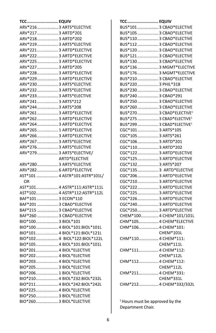| <b>TCC EQUIV</b>                                   |                                |
|----------------------------------------------------|--------------------------------|
| ARV*216  3 ARTS*ELECTIVE                           |                                |
| ARV*217  3 ARTD*201                                |                                |
| ARV*218 3 ARTD*202                                 |                                |
| ARV*219 3 ARTS*ELECTIVE                            |                                |
| ARV*221 3 ARTD*ELECTIVE                            |                                |
| ARV*222  3 ARTD*ELECTIVE                           |                                |
| ARV*225  3 ARTD*ELECTIVE                           |                                |
| ARV*227  3 ARTD*205                                |                                |
| ARV*228 3 ARTD*ELECTIVE                            |                                |
| ARV*229 3 ARTD*ELECTIVE                            |                                |
| ARV*230 3 ARTS*ELECTIVE                            |                                |
| ARV*232 3 ARTS*ELECTIVE                            |                                |
| ARV*233 3 ARTS*ELECTIVE                            |                                |
| ARV*241 3 ARTS*212                                 |                                |
| ARV*244  3 ARTS*208                                |                                |
| ARV*261 3 ARTD*ELECTIVE                            |                                |
| ARV*262 3 ARTD*ELECTIVE                            |                                |
| ARV*264  3 ARTD*ELECTIVE                           |                                |
| ARV*265  1 ARTD*ELECTIVE                           |                                |
| ARV*266 3 ARTD*ELECTIVE                            |                                |
| ARV*267  3 ARTS*ELECTIVE                           |                                |
| ARV*276  3 ARTS*ELECTIVE                           |                                |
| ARV*279  3 ARTS*ELECTIVE/                          |                                |
|                                                    | ARTD*ELECTIVE                  |
| ARV*280 3 ARTS*ELECTIVE                            |                                |
| ARV*282 6 ARTD*ELECTIVE                            |                                |
|                                                    | AST*101  4 ASTR*101:ASTR*101L/ |
| OR                                                 |                                |
|                                                    | AST*101 4 ASTR*111:ASTR*111L   |
|                                                    | AST*102 4 ASTR*112:ASTR*112L   |
| BAF*101  3 ECON*110                                |                                |
| BAF*201  3 CBAD*ELECTIVE                           |                                |
| BAF*215  3 CBAD*ELECTIVE                           |                                |
| BAF*260  3 CBAD*ELECTIVE                           |                                |
| BIO*100 3 BIOL*101                                 |                                |
|                                                    | BIO*100 4 BIOL*101:BIOL*101L   |
|                                                    | BIO*101 4 BIOL*121:BIOL*121L   |
|                                                    | BIO*102 4 BIOL*122:BIOL*122L   |
|                                                    | BIO*105 4 BIOL*101:BIOL*101L   |
| BIO*201 4 BIOL*ELECTIVE                            |                                |
|                                                    |                                |
| BIO*202 4 BIOL*ELECTIVE<br>BIO*203 4 BIOL*ELECTIVE |                                |
|                                                    |                                |
| BIO*205 3 BIOL*ELECTIVE                            |                                |
| BIO*206 1 BIOL*ELECTIVE                            |                                |
|                                                    | BIO*210 4 BIOL*232:BIOL*232L   |
|                                                    | BIO*211 4 BIOL*242:BIOL*242L   |
| BIO*225 4 BIOL*ELECTIVE                            |                                |
| BIO*250 3 BIOL*ELECTIVE                            |                                |
| BIO*260 3 BIOL*ELECTIVE                            |                                |

| <b>TCC EQUIV</b>                              |                         |
|-----------------------------------------------|-------------------------|
| BUS*101  3 CBAD*ELECTIVE                      |                         |
| BUS*105  3 CBAD*ELECTIVE                      |                         |
| BUS*110  3 CBAD*ELECTIVE                      |                         |
| BUS*112  3 CBAD*ELECTIVE                      |                         |
| BUS*120  3 CBAD*ELECTIVE                      |                         |
| BUS*121  3 CBAD*ELECTIVE                      |                         |
| BUS*130  3 CBAD*ELECTIVE                      |                         |
| BUS*136  3 MGMT*ELECTIVE                      |                         |
| BUS*176  3 MGMT*ELECTIVE                      |                         |
| BUS*210  3 CBAD*ELECTIVE                      |                         |
| BUS*220  3 PHIL*318                           |                         |
| BUS*230  3 CBAD*ELECTIVE                      |                         |
| BUS*240  3 CBAD*291                           |                         |
| BUS*250  3 CBAD*ELECTIVE                      |                         |
| BUS*260  3 CBAD*ELECTIVE                      |                         |
| BUS*270  3 CBAD*ELECTIVE1                     |                         |
| BUS*275  3 CBAD*ELECTIVE <sup>1</sup>         |                         |
| BUS*299  3 CBAD*ELECTIVE1                     |                         |
| CGC*101 3 ARTS*105                            |                         |
| CGC*105 3 ARTS*261                            |                         |
| CGC*106 3 ARTD*201                            |                         |
| CGC*110 3 ARTD*202                            |                         |
| CGC*122 3 ARTD*ELECTIVE                       |                         |
| CGC*125 3 ARTD*ELECTIVE                       |                         |
| CGC*132 3 ARTS*207<br>CGC*135 3 ARTD*ELECTIVE |                         |
| CGC*206 3 ARTD*ELECTIVE                       |                         |
| CGC*210 3 ARTD*ELECTIVE                       |                         |
| CGC*222 3 ARTD*ELECTIVE                       |                         |
| CGC*225 3 ARTD*ELECTIVE                       |                         |
| CGC*226 3 ARTD*ELECTIVE                       |                         |
| CGC*240 3 ARTD*ELECTIVE                       |                         |
| CGC*250 3 ARTD*ELECTIVE                       |                         |
| CHEM*100 4 CHEM*101/101L                      |                         |
| CHM*105 4 CHEM*ELECTIVE                       |                         |
| CHM*106 4 CHEM*101:                           |                         |
|                                               | CHEM*101L               |
| CHM*110 4 CHEM*111:                           |                         |
|                                               | CHEM*111L               |
| CHM*111 4 CHEM*112:                           |                         |
|                                               | CHEM*112L               |
| CHM*112 4 CHEM*112:                           |                         |
|                                               | CHEM*112L               |
| CHM*211 4 CHEM*331:                           |                         |
|                                               | CHEM*331L               |
|                                               | CHM*212 4 CHEM*332/332L |

<sup>1</sup> Hours must be approved by the Department Chair.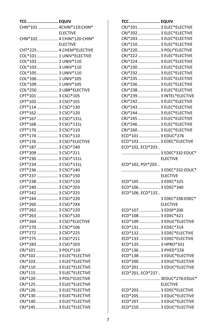| <b>TCC EQUIV</b>          |                 |
|---------------------------|-----------------|
| CHN*101  4CHIN*110:CHIN*  |                 |
|                           | <b>ELECTIVE</b> |
| CHN*102  4 CHIN*120:CHIN* |                 |
|                           | <b>ELECTIVE</b> |
| CHT*225  4 CHEM*ELECTIVE  |                 |
| COL*101  1 UNIV*ELECTIVE  |                 |
| COL*102  2 UNIV*110       |                 |
| COL*103  3 UNIV*110       |                 |
| COL*105  3 UNIV*110       |                 |
| COL*106  1 UNIV*105       |                 |
| COL*109  1 UNIV*105       |                 |
| COL*250  3 LIBR*ELECTIVE  |                 |
| CPT*101  3 CSCI*105       |                 |
| CPT*102  3 CSCI*101       |                 |
| CPT*114  3 CSCI*130       |                 |
| CPT*162  3 CSCI*120       |                 |
| CPT*167  3 CSCI*131L      |                 |
| CPT*168  3 CSCI*131L      |                 |
| CPT*170  3 CSCI*110       |                 |
| CPT*174  3 CSCI*110       |                 |
| CPT*176  3 CSCI*ELECTIVE  |                 |
| CPT*187  3 CSCI*140       |                 |
| CPT*209  3 CSCI*211       |                 |
| CPT*230  3 CSCI*131L      |                 |
| CPT*234  3 CSCI*131L      |                 |
| CPT*236  3 CSCI*140       |                 |
| CPT*237  3 CSCI*150       |                 |
| CPT*238  3 CSCI*120       |                 |
| CPT*240  3 CSCI*203       |                 |
| CPT*242  3 CSCI*225       |                 |
| CPT*244  3 CSCI*220       |                 |
| CPT*260  3 CSCI*2XX       |                 |
| CPT*262  3 CSCI*120       |                 |
| CPT*263  3 CSCI*120       |                 |
| CPT*264  3 CSCI*ELECTIVE  |                 |
| CPT*270  3 CSCI*106       |                 |
| CPT*272  3 CSCI*225       |                 |
| CPT*275  3 CSCI*211       |                 |
| CPT*283  3 CSCI*203       |                 |
| CRJ*101  3 POLI*110       |                 |
| CRJ*102  3 ELEC*ELECTIVE  |                 |
| CRJ*103  1 ELEC*ELECTIVE  |                 |
| CRJ*110  3 ELEC*ELECTIVE  |                 |
| CRJ*115  3 ELEC*ELECTIVE  |                 |
| CRJ*120 3 POLI*ELECTIVE   |                 |
| CRJ*125  3 ELEC*ELECTIVE  |                 |
| CRJ*126  3 ELEC*ELECTIVE  |                 |
| CRJ*130 3 ELEC*ELECTIVE   |                 |
| CRJ*140  3 ELEC*ELECTIVE  |                 |
| CRJ*145  3 ELEC*ELECTIVE  |                 |

| <b>TCC EQUIV</b>                                     |                  |
|------------------------------------------------------|------------------|
| CRJ*201  3 ELEC*ELECTIVE                             |                  |
| CRJ*202  3 ELEC*ELECTIVE                             |                  |
| CRJ*203  3 ELEC*ELECTIVE                             |                  |
| CRJ*210  3 ELEC*ELECTIVE                             |                  |
| CRJ*220  3 POLI*ELECTIVE                             |                  |
| CRJ*222  3 ELEC*ELECTIVE                             |                  |
| CRJ*224  3 ELEC*ELECTIVE                             |                  |
| CRJ*230 3 ELEC*ELECTIVE                              |                  |
| CRJ*232  3 ELEC*ELECTIVE                             |                  |
| CRJ*235  3 ELEC*ELECTIVE                             |                  |
| CRJ*236  3 ELEC*ELECTIVE                             |                  |
| CRJ*238 3 ELEC*ELECTIVE                              |                  |
| CRJ*239  3 INTEL*ELECTIVE                            |                  |
| CRJ*242  3 ELEC*ELECTIVE                             |                  |
| CRJ*243  3 ELEC*ELECTIVE                             |                  |
| CRJ*244  3 ELEC*ELECTIVE                             |                  |
| CRJ*245  3 ELEC*ELECTIVE                             |                  |
| CRJ*246  3 ELEC*ELECTIVE                             |                  |
| CRJ*260  3 ELEC*ELECTIVE                             |                  |
| ECD*101  3 EDUC*276                                  |                  |
| ECD*102  3 EDEC*ELECTIVE                             |                  |
| ECD*102, ECD*203                                     |                  |
| 3 EDEC*332:EDUC*                                     |                  |
|                                                      | <b>ELECTIVE</b>  |
|                                                      |                  |
|                                                      |                  |
| ECD*102, PSY*203                                     |                  |
| 3 EDEC*332:EDUC*                                     |                  |
|                                                      | <b>ELECTIVE</b>  |
| ECD*105  3 EDEC*325                                  |                  |
| ECD*106  3 EDEC*340                                  |                  |
| ECD*106, ECD*132                                     |                  |
|                                                      | 3 EDEC*338:EDEC* |
|                                                      | <b>ELECTIVE</b>  |
| ECD*107  3 EDSP*200                                  |                  |
| ECD*108  3 EDEC*421                                  |                  |
| ECD*109  3 EDUC*ELECTIVE                             |                  |
| ECD*131  3 EDEC*314                                  |                  |
| ECD*132  3 EDEC*ELECTIVE                             |                  |
| ECD*133  3 EDEC*ELECTIVE                             |                  |
| ECD*135  3 HPRO*331                                  |                  |
| ECD*136  3 PHED*226                                  |                  |
| ECD*138  3 EDUC*ELECTIVE                             |                  |
| ECD*200  3 EDUC*ELECTIVE                             |                  |
| ECD*201  3 EDUC*ELECTIVE                             |                  |
| ECD*201, ECD*237                                     |                  |
| 3EDUC*276:EDUC*                                      |                  |
|                                                      | <b>ELECTIVE</b>  |
| ECD*203  3 EDEC*ELECTIVE                             |                  |
| ECD*205  3 EDUC*ELECTIVE                             |                  |
| ECD*207  3 EDUC*ELECTIVE<br>ECD*210  3 EDUC*ELECTIVE |                  |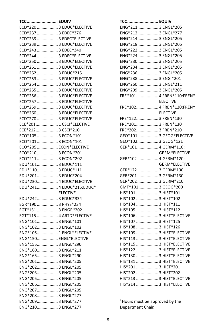| <b>TCC EQUIV</b>                         |                 |
|------------------------------------------|-----------------|
| ECD*220  3 EDUC*ELECTIVE                 |                 |
| ECD*237  3 EDEC*376                      |                 |
| ECD*239  3 EDEC*ELECTIVE                 |                 |
| ECD*239  3 EDUC*ELECTIVE                 |                 |
| ECD*243  3 EDEC*340                      |                 |
| ECD*244  3 EDEC*ELECTIVE                 |                 |
| ECD*250  3 EDUC*ELECTIVE                 |                 |
| ECD*251  3 EDUC*ELECTIVE                 |                 |
| ECD*252  3 EDUC*215                      |                 |
| ECD*253  3 EDUC*ELECTIVE                 |                 |
| ECD*254  3 EDUC*ELECTIVE                 |                 |
| ECD*255  3 EDUC*ELECTIVE                 |                 |
| ECD*256  3 EDUC*ELECTIVE                 |                 |
| ECD*257  3 EDUC*ELECTIVE                 |                 |
| ECD*259  3 EDUC*ELECTIVE                 |                 |
| ECD*260  3 EDUC*ELECTIVE                 |                 |
|                                          |                 |
| ECD*270  3 EDUC*ELECTIVE                 |                 |
| ECE*201 1 CSCI*ELECTIVE                  |                 |
| ECE*212 3 CSCI*210                       |                 |
| ECO*105  3 ECON*101                      |                 |
| ECO*201  3 ECON*101                      |                 |
| ECO*205  ECON*ELECTIVE                   |                 |
| ECO*210 3 ECON*201                       |                 |
| ECO*211 3 ECON*202                       |                 |
| EDU*101 3 EDUC*111                       |                 |
| EDU*110 3 EDUC*111                       |                 |
| EDU*201 3 EDUC*204                       |                 |
| EDU*230 4 EDUC*ELECTIVE                  |                 |
| EDU*241 4 EDUC*215:EDUC*                 |                 |
|                                          | <b>ELECTIVE</b> |
| EDU*242 3 EDUC*334                       |                 |
| EGR*190  3 PHYS*234                      |                 |
| EGT*151  3 ENGR*202                      |                 |
| EGT*115  4 ARTD*ELECTIVE                 |                 |
| ENG*101 3 ENGL*101                       |                 |
| ENG*102 3 ENGL*102                       |                 |
| ENG*105 1 ENGL*ELECTIVE                  |                 |
| ENG*150 ENGL*ELECTIVE                    |                 |
| ENG*155 3 ENGL*290                       |                 |
| ENG*160 3 ENGL*211                       |                 |
| ENG*165 3 ENGL*290                       |                 |
| ENG*201 3 ENGL*205                       |                 |
| ENG*202 3 ENGL*205                       |                 |
| ENG*203 3 ENGL*205                       |                 |
|                                          |                 |
| ENG*205 3 ENGL*205<br>ENG*206 3 ENGL*205 |                 |
|                                          |                 |
| ENG*207 3 ENGL*205                       |                 |
| ENG*208 3 ENGL*277                       |                 |
| ENG*209 3 ENGL*277                       |                 |
| ENG*210 3 ENGL*277                       |                 |

| <b>TCC EQUIV</b>         |                      |
|--------------------------|----------------------|
| ENG*211 3 ENGL*205       |                      |
| ENG*212 3 ENGL*277       |                      |
| ENG*214 3 ENGL*205       |                      |
| ENG*218 3 ENGL*205       |                      |
| ENG*222 3 ENGL*205       |                      |
| ENG*224 3 ENGL*205       |                      |
| ENG*230 3 ENGL*205       |                      |
| ENG*234 3 ENGL*205       |                      |
| ENG*236 3 ENGL*205       |                      |
| ENG*238 3 ENG *201       |                      |
| ENG*260 3 ENGL*211       |                      |
| ENG*299 3 ENGL*205       |                      |
| FRE*101 4 FREN*110:FREN* |                      |
|                          | <b>ELECTIVE</b>      |
| FRE*102 4 FREN*120:FREN* |                      |
|                          | <b>ELECTIVE</b>      |
| FRE*122 3 FREN*130       |                      |
| FRE*201 3 FREN*130       |                      |
| FRE*202 3 FREN*210       |                      |
| GEO*101 3 GEOG*ELECTIVE  |                      |
| GEO*102 3 GEOG*121       |                      |
| GER*101  4 GERM*110:     |                      |
|                          | GERM*ELECTIVE        |
| GER*102  4 GERM*120:     |                      |
|                          | <b>GERM*ELECTIVE</b> |
| GER*122  3 GERM*130      |                      |
| GER*201  3 GERM*130      |                      |
| GER*202  3 GERM*210      |                      |
| GMT*101 3 GEOG*200       |                      |
| HIS*101  3 HIST*101      |                      |
| HIS*102  3 HIST*102      |                      |
| HIS*104  3 HIST*111      |                      |
| HIS*105  3 HIST*112      |                      |
| HIS*106  3 HIST*ELECTIVE |                      |
| HIS*107  3 HIST*125      |                      |
| HIS*108  3 HIST*126      |                      |
| HIS*109  3 HIST*ELECTIVE |                      |
| HIS*113  3 HIST*ELECTIVE |                      |
| HIS*115  3 HIST*ELECTIVE |                      |
| HIS*122  3 HIST*ELECTIVE |                      |
| HIS*130  3 HIST*ELECTIVE |                      |
| HIS*131  3 HIST*ELECTIVE |                      |
| HIS*201  3 HIST*201      |                      |
| HIS*202  3 HIST*202      |                      |
| HIS*213  3 HIST*ELECTIVE |                      |
| HIS*214  3 HIST*ELECTIVE |                      |

<sup>1</sup> Hours must be approved by the Department Chair.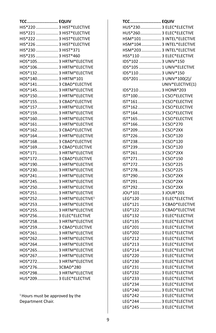| <b>TCC EQUIV</b>                     |  |
|--------------------------------------|--|
| HIS*220  3 HIST*ELECTIVE             |  |
| HIS*221  3 HIST*ELECTIVE             |  |
| HIS*222  3 HIST*ELECTIVE             |  |
| HIS*226  3 HIST*ELECTIVE             |  |
| HIS*230  3 HIST*371                  |  |
| HIS*235  3 HIST*460                  |  |
| HOS*105 3 HRTM*ELECTIVE              |  |
| HOS*106 3 HRTM*ELECTIVE              |  |
| HOS*132 3 HRTM*ELECTIVE              |  |
| HOS*140 3 HRTM*101                   |  |
| HOS*141 3 CBAD*ELECTIVE              |  |
| HOS*145 3 HRTM*ELECTIVE              |  |
| HOS*150 3 HRTM*ELECTIVE              |  |
| HOS*155 3 CBAD*ELECTIVE              |  |
| HOS*157 3 HRTM*ELECTIVE              |  |
| HOS*159 3 HRTM*ELECTIVE              |  |
| HOS*160 3 HRTM*ELECTIVE              |  |
| HOS*161 3 HRTM*ELECTIVE              |  |
| HOS*162 3 CBAD*ELECTIVE              |  |
| HOS*164 3 HRTM*ELECTIVE              |  |
| HOS*168 3 CBAD*ELECTIVE              |  |
| HOS*169 3 CBAD*ELECTIVE              |  |
| HOS*171 3 HRTM*ELECTIVE              |  |
| HOS*172 3 CBAD*ELECTIVE              |  |
| HOS*190 3 HRTM*ELECTIVE              |  |
| HOS*230 3 HRTM*ELECTIVE              |  |
| HOS*241 3 HRTM*ELECTIVE              |  |
| HOS*245 3 HRTM*ELECTIVE              |  |
| HOS*250 3 HRTM*ELECTIVE              |  |
| HOS*251 3 HRTM*ELECTIVE              |  |
| HOS*252 3 HRTM*ELECTIVE <sup>1</sup> |  |
| HOS*253 3 HRTM*ELECTIVE              |  |
| HOS*255 3 HRTM*ELECTIVE              |  |
| HOS*256 3 ELEC*ELECTIVE              |  |
| HOS*258 3 HRTM*ELECTIVE              |  |
| HOS*259 3 CBAD*ELECTIVE              |  |
| HOS*261 3 HRTM*ELECTIVE              |  |
| HOS*262 3 HRTM*ELECTIVE              |  |
| HOS*264 3 HRTM*ELECTIVE              |  |
| HOS*265 3 HRTM*ELECTIVE              |  |
| HOS*267 3 HRTM*ELECTIVE              |  |
| HOS*272 3 HRTM*ELECTIVE              |  |
| HOS*276 3CBAD*280                    |  |
| HOS*298 3 HRTM*ELECTIVE              |  |
| HUS*209 3 ELEC*ELECTIVE              |  |

 $1$ Hours must be approved by the Department Chair.

| <b>TCC EQUIV</b>          |                  |
|---------------------------|------------------|
| HUS*230 3 ELEC*ELECTIVE   |                  |
| HUS*260 3 ELEC*ELECTIVE   |                  |
| HSM*101 3 INTEL*ELECTIVE  |                  |
| HSM*104  3 INTEL*ELECTIVE |                  |
| HSM*203  3 INTEL*ELECTIVE |                  |
| HSS*110  3 ELEC*ELECTIVE  |                  |
| IDS*102  3 UNIV*150       |                  |
| IDS*105  1 UNIV*ELECTIVE  |                  |
| IDS*110  3 UNIV*150       |                  |
| IDS*201  3 UNIV*100(2)/   |                  |
|                           | UNIV*ELECTIVE(1) |
| IDS*210  3 HONR*203       |                  |
| IST*100 1 CSCI*ELECTIVE   |                  |
| IST*161 3 CSCI*ELECTIVE   |                  |
| IST*162 3 CSCI*ELECTIVE   |                  |
| IST*164 3 CSCI*ELECTIVE   |                  |
| IST*165 3 CSCI*ELECTIVE   |                  |
| IST*166 3 CSCI*270        |                  |
| IST*209 3 CSCI*2XX        |                  |
|                           |                  |
| IST*226 3 CSCI*120        |                  |
| IST*238 3 CSCI*120        |                  |
| IST*239 3 CSCI*120        |                  |
| IST*261 3 CSCI*2XX        |                  |
| IST*271 3 CSCI*150        |                  |
| IST*272 3 CSCI*225        |                  |
| IST*278 3 CSCI*225        |                  |
| IST*290 3 CSCI*2XX        |                  |
| IST*291 3 CSCI*2XX        |                  |
| IST*292 3 CSCI*2XX        |                  |
| JOU*101  3 JOUR*201       |                  |
| LEG*120  3 ELEC*ELECTIVE  |                  |
| LEG*121  3 CBAD*ELECTIVE  |                  |
| LEG*122  3 CBAD*ELECTIVE  |                  |
| LEG*132  3 ELEC*ELECTIVE  |                  |
| LEG*135  3 ELEC*ELECTIVE  |                  |
| LEG*201  3 ELEC*ELECTIVE  |                  |
| LEG*202  3 ELEC*ELECTIVE  |                  |
| LEG*212  3 ELEC*ELECTIVE  |                  |
| LEG*213  3 ELEC*ELECTIVE  |                  |
| LEG*214  3 ELEC*ELECTIVE  |                  |
| LEG*220  3 ELEC*ELECTIVE  |                  |
| LEG*230  3 ELEC*ELECTIVE  |                  |
| LEG*231  3 ELEC*ELECTIVE  |                  |
| LEG*232  3 ELEC*ELECTIVE  |                  |
| LEG*233  3 ELEC*ELECTIVE  |                  |
| LEG*234  3 ELEC*ELECTIVE  |                  |
| LEG*240  3 ELEC*ELECTIVE  |                  |
| LEG*242  3 ELEC*ELECTIVE  |                  |
| LEG*244  3 ELEC*ELECTIVE  |                  |
| LEG*245  3 ELEC*ELECTIVE  |                  |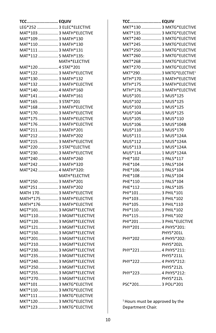| <b>TCC EQUIV</b>          |                      |
|---------------------------|----------------------|
| LEG*252  3 ELEC*ELECTIVE  |                      |
| MAT*103  3 MATH*ELECTIVE  |                      |
| MAT*109  3 MATH*130       |                      |
| MAT*110  3 MATH*130       |                      |
| MAT*111  3 MATH*131       |                      |
| MAT*112  5 MATH*135:      |                      |
|                           | MATH*ELECTIVE        |
| MAT*120  4 STAT*201       |                      |
| MAT*122  3 MATH*ELECTIVE  |                      |
| MAT*130  3 MATH*132       |                      |
| MAT*132  3 MATH*ELECTIVE  |                      |
| MAT*140  4 MATH*160       |                      |
| MAT*141  4 MATH*161       |                      |
| MAT*165  3 STAT*201       |                      |
| MAT*168  3 MATH*ELECTIVE  |                      |
| MAT*170  3 MATH*ELECTIVE  |                      |
| MAT*175  3 MATH*ELECTIVE  |                      |
| MAT*176  3 MATH*ELECTIVE  |                      |
| MAT*211  3 MATH*201       |                      |
| MAT*212  3 MATH*202       |                      |
| MAT*215  3 MATH*ELECTIVE  |                      |
| MAT*220  3 STAT*ELECTIVE  |                      |
| MAT*230  3 MATH*ELECTIVE  |                      |
| MAT*240  4 MATH*260       |                      |
| MAT*242  3 MATH*320       |                      |
| MAT*242  4 MATH*320:      |                      |
|                           | <b>MATH*ELECTIVE</b> |
| MAT*250  3 MATH*201       |                      |
| MAT*251  3 MATH*202       |                      |
| MATH 170  3 MATH*ELECTIVE |                      |
| MATH*175 3 MATH*ELECTIVE  |                      |
| MATH*176 3 MATH*ELECTIVE  |                      |
| MGT*101 3 MGMT*ELECTIVE   |                      |
| MGT*110 3 MGMT*ELECTIVE   |                      |
| MGT*120 3 MGMT*ELECTIVE   |                      |
| MGT*121 3 MGMT*ELECTIVE   |                      |
| MGT*150 3 MGMT*ELECTIVE   |                      |
| MGT*201 3 MGMT*ELECTIVE   |                      |
| MGT*210 3 MGMT*ELECTIVE   |                      |
| MGT*230 3 MGMT*ELECTIVE   |                      |
| MGT*235 3 MGMT*ELECTIVE   |                      |
| MGT*240 3 MGMT*ELECTIVE   |                      |
| MGT*250 3 MGMT*ELECTIVE   |                      |
| MGT*255 3 MGMT*ELECTIVE   |                      |
| MGT*270 3 MGMT*ELECTIVE   |                      |
| MKT*101  3 MKTG*ELECTIVE  |                      |
| MKT*110  3 MKTG*ELECTIVE  |                      |
| MKT*111  3 MKTG*ELECTIVE  |                      |
| MKT*120  3 MKTG*ELECTIVE  |                      |
| MKT*123  3 MKTG*ELECTIVE  |                      |

| <b>TCC EQUIV</b>                      |                  |
|---------------------------------------|------------------|
| MKT*130  3 MKTG*ELECTIVE              |                  |
| MKT*135  3 MKTG*ELECTIVE              |                  |
| MKT*240  3 MKTG*ELECTIVE              |                  |
| MKT*245  3 MKTG*ELECTIVE              |                  |
| MKT*250  3 MKTG*ELECTIVE              |                  |
| MKT*260  3 MKTG*ELECTIVE              |                  |
| MKT*268  3 MKTG*ELECTIVE              |                  |
| MKT*270  3 MKTG*ELECTIVE              |                  |
| MKT*290  3 MKTG*ELECTIVE <sup>1</sup> |                  |
| MTH*170 3 MATH*ELECTIVE               |                  |
| MTH*175 3 MATH*ELECTIVE               |                  |
| MTH*176 3 MATH*ELECTIVE               |                  |
| MUS*101 1 MUS*125                     |                  |
| MUS*102 1 MUS*125                     |                  |
| MUS*103 1 MUS*125                     |                  |
| MUS*104 1 MUS*125                     |                  |
| MUS*105  3 MUS*110                    |                  |
| MUS*106 1 MUS*104B                    |                  |
| MUS*110 3 MUS*170                     |                  |
| MUS*111 1 MUS*124A                    |                  |
| MUS*112 1 MUS*124A                    |                  |
| MUS*113 1 MUS*124A                    |                  |
| MUS*114 1 MUS*124A                    |                  |
| PHE*102  1 PALS*117                   |                  |
| PHE*104  1 PALS*104                   |                  |
| PHE*106  1 PALS*104                   |                  |
| PHE*108  1 PALS*104                   |                  |
| PHE*110  1 PALS*104                   |                  |
| PHE*112  1 PALS*105                   |                  |
| PHI*101  3 PHIL*101                   |                  |
| PHI*103  3 PHIL*102                   |                  |
| PHI*105  3 PHIL*110                   |                  |
| PHI*110  3 PHIL*102                   |                  |
| PHI*115  3 PHIL*102                   |                  |
| PHI*201  3 PHIL*ELECTIVE              |                  |
| PHY*201  4 PHYS*201:                  |                  |
|                                       | PHYS*201L        |
| PHY*202  4 PHYS*202:                  |                  |
|                                       | <b>PHYS*202L</b> |
| PHY*221  4 PHYS*211:                  |                  |
|                                       | <b>PHYS*211L</b> |
| PHY*222  4 PHYS*212:                  |                  |
|                                       | <b>PHYS*212L</b> |
| PHY*223  4 PHYS*212:                  |                  |
|                                       | <b>PHYS*212L</b> |
| PSC*201 3 POLI*201                    |                  |

 $1$ Hours must be approved by the Department Chair.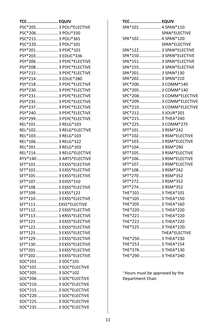| <b>TCC EQUIV</b>         |  |
|--------------------------|--|
| PSC*205 3 POLI*ELECTIVE  |  |
| PSC*206 3 POLI*330       |  |
| PSC*215 3 POLI*365       |  |
| PSC*220 3 POLI*101       |  |
| PSY*201 3 PSYC*101       |  |
| PSY*203 3 EDUC*336       |  |
| PSY*206 3 PSYC*ELECTIVE  |  |
| PSY*208 3 PSYC*ELECTIVE  |  |
| PSY*212 3 PSYC*ELECTIVE  |  |
| PSY*214 3 EDUC*280       |  |
| PSY*218 3 PSYC*ELECTIVE  |  |
| PSY*230 3 PSYC*ELECTIVE  |  |
| PSY*231 3 PSYC*ELECTIVE  |  |
| PSY*235 3 PSYC*ELECTIVE  |  |
| PSY*237  3 PSYC*ELECTIVE |  |
| PSY*240 3 PSYC*ELECTIVE  |  |
| PSY*299 3 PSYC*ELECTIVE  |  |
| REL*101 3 RELG*103       |  |
| REL*102 3 RELG*ELECTIVE  |  |
| REL*103 3 RELG*103       |  |
| REL*106 3 RELG*322       |  |
| REL*201 3 RELG*103       |  |
| REL*214 3 RELG*ELECTIVE  |  |
| RTV*140  3 ARTS*ELECTIVE |  |
| SFT*101  3 EXSS*ELECTIVE |  |
| SFT*102  3 EXSS*ELECTIVE |  |
| SFT*105  3 EXSS*ELECTIVE |  |
| SFT*107  3 EXSS*310      |  |
| SFT*108  1 EXSS*ELECTIVE |  |
| SFT*109  3 EXSS*122      |  |
|                          |  |
| SFT*110  3 EXSS*ELECTIVE |  |
| SFT*111  EXSS*ELECTIVE   |  |
| SFT*112  2 EXSS*ELECTIVE |  |
| SFT*113  1 KRSS*ELECTIVE |  |
| SFT*121  3 EXSS*ELECTIVE |  |
| SFT*122  1 EXSS*ELECTIVE |  |
| SFT*125  3 EXSS*ELECTIVE |  |
| SFT*129  1 EXSS*ELECTIVE |  |
| SFT*130 3 EXSS*ELECTIVE  |  |
| SFT*201  3 EXSS*ELECTIVE |  |
| SFT*202  3 EXSS*ELECTIVE |  |
| SOC*101  3 SOC*101       |  |
| SOC*102  3 SOC*ELECTIVE  |  |
| SOC*205  3 SOC*102       |  |
| SOC*206  3 SOC*ELECTIVE  |  |
| SOC*210  3 SOC*ELECTIVE  |  |
| SOC*215  3 SOC*ELECTIVE  |  |
| SOC*220  3 SOC*ELECTIVE  |  |
| SOC*225  3 SOC*ELECTIVE  |  |
| SOC*235  3 SOC*ELECTIVE  |  |

| <b>TCC EQUIV</b>        |               |
|-------------------------|---------------|
| SPA*101 4 SPAN*110:     |               |
|                         | SPAN*ELECTIVE |
| SPA*102 4 SPAN*120:     |               |
|                         | SPAN*ELECTIVE |
| SPA*122 3 SPAN*ELECTIVE |               |
| SPA*150 3 SPAN*ELECTIVE |               |
| SPA*151 3 SPAN*ELECTIVE |               |
| SPA*155 3 SPAN*ELECTIVE |               |
| SPA*201 3 SPAN*130      |               |
| SPA*202 3 SPAN*210      |               |
| SPC*200 3 COMM*140      |               |
| SPC*205 3 COMM*140      |               |
| SPC*208 3 COMM*ELECTIVE |               |
| SPC*209 3 COMM*ELECTIVE |               |
| SPC*210 3 COMM*ELECTIVE |               |
| SPC*212 3 JOUR*201      |               |
| SPC*215 3 THEA*240      |               |
| SPC*225 3 COMM*275      |               |
| SPT*101 3 RSM*242       |               |
| SPT*102 3 RSM*ELECTIVE  |               |
| SPT*103 3 RSM*ELECTIVE  |               |
| SPT*104 3 RSM*290       |               |
| SPT*105 3 RSM*ELECTIVE  |               |
| SPT*106 3 RSM*ELECTIVE  |               |
| SPT*107 3 RSM*ELECTIVE  |               |
| SPT*108 3 RSM*242       |               |
| SPT*270 3 RSM*352       |               |
| SPT*272 3 RSM*352       |               |
| SPT*274 3 RSM*352       |               |
| THE*101  3 THEA*101     |               |
| THE*105  3 THEA*150     |               |
| THE*205  3 THEA*160     |               |
| THE*220  1 THEA*220     |               |
| THE*221  1 THEA*220     |               |
| THE*222  1 THEA*220     |               |
| THE*225  3 THEA*220:    |               |
|                         | THEA*ELECTIVE |
| THE*250  3 THEA*230     |               |
| THE*253  3 THEA*154     |               |
| THE*276  3 THEA*130     |               |
| THE*290  3 THEA*240     |               |

<sup>1</sup> Hours must be approved by the Department Chair.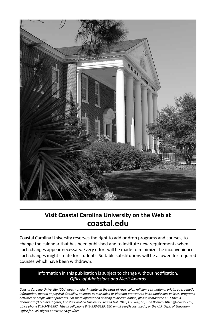

#### **Visit Coastal Carolina University on the Web at coastal.edu**

Coastal Carolina University reserves the right to add or drop programs and courses, to change the calendar that has been published and to institute new requirements when such changes appear necessary. Every effort will be made to minimize the inconvenience such changes might create for students. Suitable substitutions will be allowed for required courses which have been withdrawn.

#### Information in this publication is subject to change without notification. *Office of Admissions and Merit Awards*

*Coastal Carolina University (CCU) does not discriminate on the basis of race, color, religion, sex, national origin, age, genetic information, mental or physical disability, or status as a disabled or Vietnam-era veteran in its admissions policies, programs, activities or employment practices. For more information relating to discrimination, please contact the CCU Title IX Coordinator/EEO Investigator; Coastal Carolina University, Kearns Hall 104B, Conway, SC; Title IX email titleix@coastal.edu; office phone 843-349-2382; Title IX cell phone 843-333-6229; EEO email eeo@coastal.edu; or the U.S. Dept. of Education Office for Civil Rights at www2.ed.gov/ocr.*